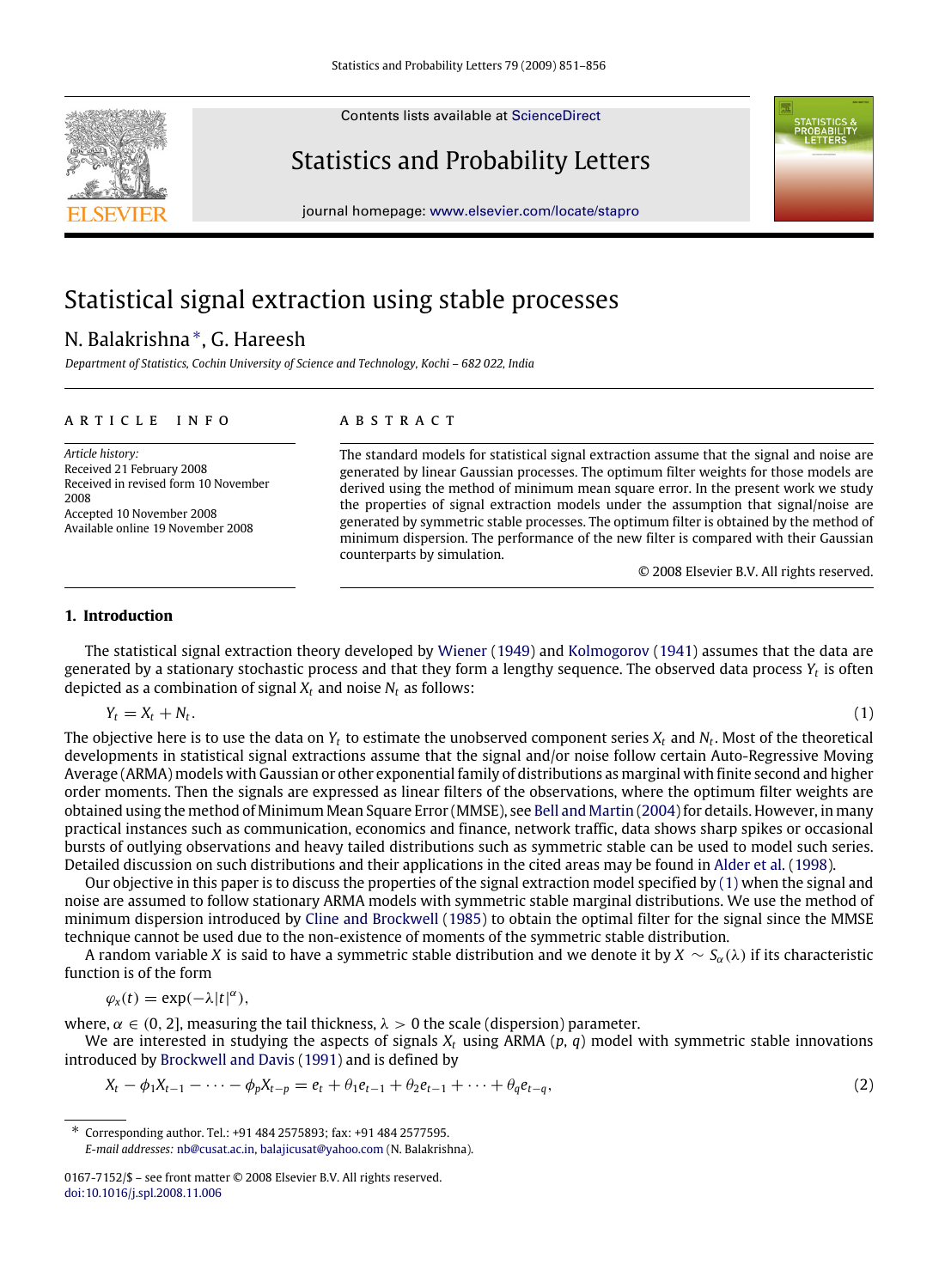Contents lists available at [ScienceDirect](http://www.elsevier.com/locate/stapro)

## Statistics and Probability Letters

journal homepage: [www.elsevier.com/locate/stapro](http://www.elsevier.com/locate/stapro)

# Statistical signal extraction using stable processes

## N. Balakrishna<sup>\*</sup>, G. Hareesh

*Department of Statistics, Cochin University of Science and Technology, Kochi – 682 022, India*

#### a r t i c l e i n f o

### a b s t r a c t

*Article history:* Received 21 February 2008 Received in revised form 10 November 2008 Accepted 10 November 2008 Available online 19 November 2008

The standard models for statistical signal extraction assume that the signal and noise are generated by linear Gaussian processes. The optimum filter weights for those models are derived using the method of minimum mean square error. In the present work we study the properties of signal extraction models under the assumption that signal/noise are generated by symmetric stable processes. The optimum filter is obtained by the method of minimum dispersion. The performance of the new filter is compared with their Gaussian counterparts by simulation.

<span id="page-0-2"></span><span id="page-0-1"></span>© 2008 Elsevier B.V. All rights reserved.

#### **1. Introduction**

The statistical signal extraction theory developed by [Wiener](#page-5-0) [\(1949\)](#page-5-0) and [Kolmogorov](#page-5-1) [\(1941\)](#page-5-1) assumes that the data are generated by a stationary stochastic process and that they form a lengthy sequence. The observed data process  $Y_t$  is often depicted as a combination of signal  $X_t$  and noise  $N_t$  as follows:

 $Y_t = X_t + N_t$ .

.  $(1)$ 

The objective here is to use the data on *Y<sup>t</sup>* to estimate the unobserved component series *X<sup>t</sup>* and *N<sup>t</sup>* . Most of the theoretical developments in statistical signal extractions assume that the signal and/or noise follow certain Auto-Regressive Moving Average (ARMA) models with Gaussian or other exponential family of distributions as marginal with finite second and higher order moments. Then the signals are expressed as linear filters of the observations, where the optimum filter weights are obtained using the method of Minimum Mean Square Error (MMSE), see [Bell](#page-5-2) [and](#page-5-2) [Martin](#page-5-2) [\(2004\)](#page-5-2) for details. However, in many practical instances such as communication, economics and finance, network traffic, data shows sharp spikes or occasional bursts of outlying observations and heavy tailed distributions such as symmetric stable can be used to model such series. Detailed discussion on such distributions and their applications in the cited areas may be found in [Alder](#page-5-3) [et al.](#page-5-3) [\(1998\)](#page-5-3).

Our objective in this paper is to discuss the properties of the signal extraction model specified by [\(1\)](#page-0-1) when the signal and noise are assumed to follow stationary ARMA models with symmetric stable marginal distributions. We use the method of minimum dispersion introduced by [Cline](#page-5-4) [and](#page-5-4) [Brockwell](#page-5-4) [\(1985\)](#page-5-4) to obtain the optimal filter for the signal since the MMSE technique cannot be used due to the non-existence of moments of the symmetric stable distribution.

A random variable *X* is said to have a symmetric stable distribution and we denote it by *X* ∼ *S*α(λ) if its characteristic function is of the form

$$
\varphi_x(t) = \exp(-\lambda |t|^{\alpha}),
$$

where,  $\alpha \in (0, 2]$ , measuring the tail thickness,  $\lambda > 0$  the scale (dispersion) parameter.

We are interested in studying the aspects of signals  $X_t$  using ARMA  $(p, q)$  model with symmetric stable innovations introduced by [Brockwell](#page-5-5) [and](#page-5-5) [Davis](#page-5-5) [\(1991\)](#page-5-5) and is defined by

$$
X_t - \phi_1 X_{t-1} - \dots - \phi_p X_{t-p} = e_t + \theta_1 e_{t-1} + \theta_2 e_{t-1} + \dots + \theta_q e_{t-q},
$$
\n(2)





<span id="page-0-0"></span><sup>∗</sup> Corresponding author. Tel.: +91 484 2575893; fax: +91 484 2577595. *E-mail addresses:* [nb@cusat.ac.in,](mailto:nb@cusat.ac.in) [balajicusat@yahoo.com](mailto:balajicusat@yahoo.com) (N. Balakrishna).

<sup>0167-7152/\$ –</sup> see front matter © 2008 Elsevier B.V. All rights reserved. [doi:10.1016/j.spl.2008.11.006](http://dx.doi.org/10.1016/j.spl.2008.11.006)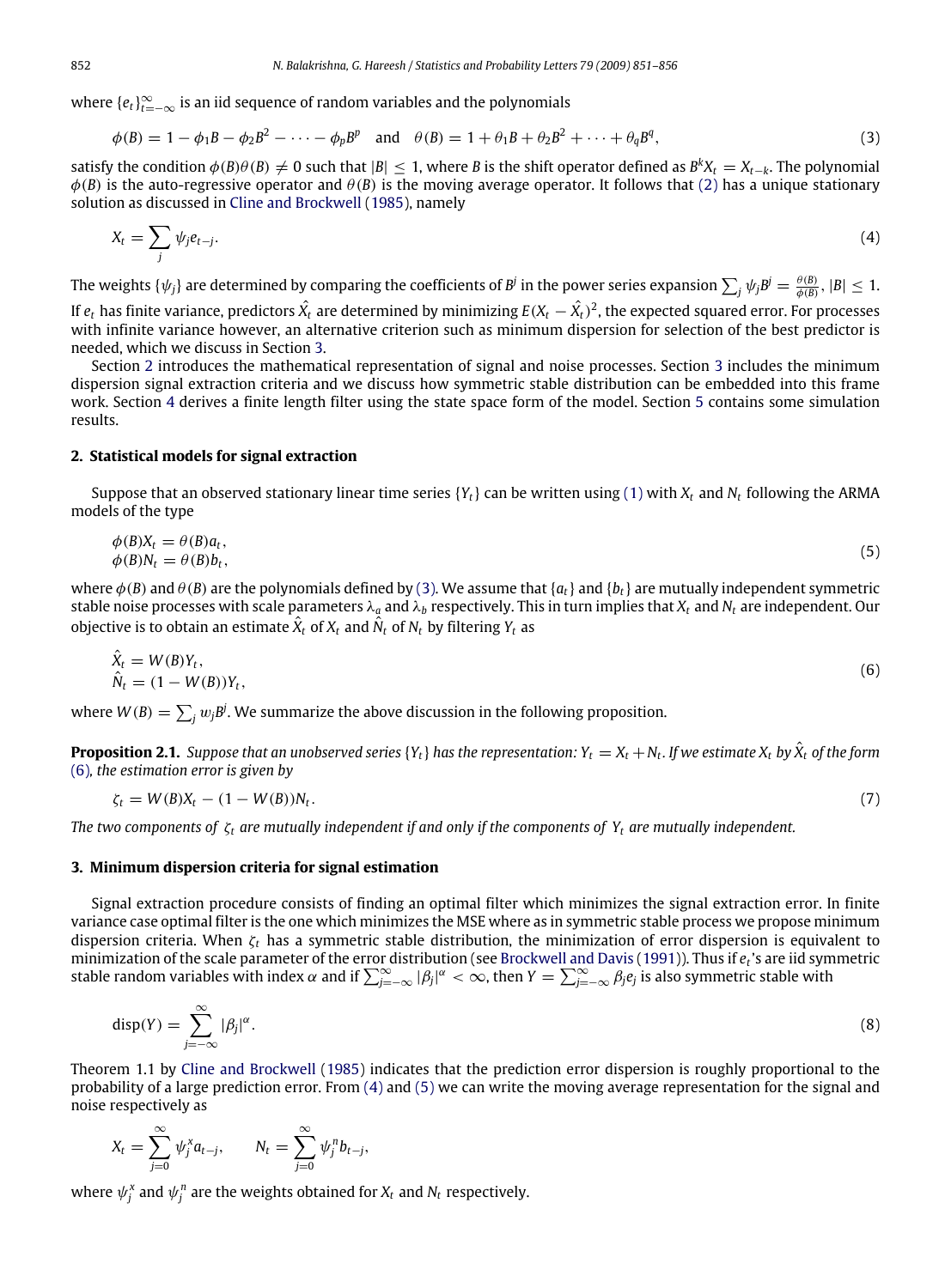where  $\{e_t\}_{t=-\infty}^{\infty}$  is an iid sequence of random variables and the polynomials

<span id="page-1-2"></span>
$$
\phi(B) = 1 - \phi_1 B - \phi_2 B^2 - \dots - \phi_p B^p \quad \text{and} \quad \theta(B) = 1 + \theta_1 B + \theta_2 B^2 + \dots + \theta_q B^q,\tag{3}
$$

satisfy the condition  $\phi(B)\theta(B) \neq 0$  such that  $|B| \leq 1$ , where *B* is the shift operator defined as  $B^kX_t = X_{t-k}$ . The polynomial  $\phi$ (*B*) is the auto-regressive operator and  $\theta$ (*B*) is the moving average operator. It follows that [\(2\)](#page-0-2) has a unique stationary solution as discussed in [Cline](#page-5-4) [and](#page-5-4) [Brockwell](#page-5-4) [\(1985\)](#page-5-4), namely

<span id="page-1-4"></span>
$$
X_t = \sum_j \psi_j e_{t-j}.\tag{4}
$$

The weights  $\{\psi_j\}$  are determined by comparing the coefficients of  $B^j$  in the power series expansion  $\sum_j\psi_jB^j=\frac{\theta(B)}{\phi(B)},|B|\leq 1.$ 

If  $e_t$  has finite variance, predictors  $\hat{X_t}$  are determined by minimizing  $E(X_t-\hat{X_t})^2$ , the expected squared error. For processes with infinite variance however, an alternative criterion such as minimum dispersion for selection of the best predictor is needed, which we discuss in Section [3.](#page-1-0)

Section [2](#page-1-1) introduces the mathematical representation of signal and noise processes. Section [3](#page-1-0) includes the minimum dispersion signal extraction criteria and we discuss how symmetric stable distribution can be embedded into this frame work. Section [4](#page-2-0) derives a finite length filter using the state space form of the model. Section [5](#page-3-0) contains some simulation results.

#### <span id="page-1-1"></span>**2. Statistical models for signal extraction**

Suppose that an observed stationary linear time series {*Yt*} can be written using [\(1\)](#page-0-1) with *X<sup>t</sup>* and *N<sup>t</sup>* following the ARMA models of the type

<span id="page-1-5"></span>
$$
\begin{aligned} \n\phi(B)X_t &= \theta(B)a_t, \\ \n\phi(B)N_t &= \theta(B)b_t, \n\end{aligned} \tag{5}
$$

where  $\phi(B)$  and  $\theta(B)$  are the polynomials defined by [\(3\).](#page-1-2) We assume that  $\{a_t\}$  and  $\{b_t\}$  are mutually independent symmetric stable noise processes with scale parameters  $\lambda_a$  and  $\lambda_b$  respectively. This in turn implies that  $X_t$  and  $N_t$  are independent. Our objective is to obtain an estimate  $\hat{X}_t$  of  $X_t$  and  $\hat{N}_t$  of  $N_t$  by filtering  $Y_t$  as

<span id="page-1-3"></span>
$$
\hat{X}_t = W(B)Y_t, \n\hat{N}_t = (1 - W(B))Y_t,
$$
\n(6)

where  $W(B) = \sum_j w_j B^j$ . We summarize the above discussion in the following proposition.

**Proposition 2.1.** Suppose that an unobserved series {Y<sub>t</sub>} has the representation: Y<sub>t</sub> = X<sub>t</sub> + N<sub>t</sub>. If we estimate X<sub>t</sub> by  $\hat{X}_t$  of the form [\(6\)](#page-1-3)*, the estimation error is given by*

<span id="page-1-6"></span>
$$
\zeta_t = W(B)X_t - (1 - W(B))N_t. \tag{7}
$$

*The two components of* ζ*<sup>t</sup> are mutually independent if and only if the components of Y<sup>t</sup> are mutually independent.*

#### <span id="page-1-0"></span>**3. Minimum dispersion criteria for signal estimation**

Signal extraction procedure consists of finding an optimal filter which minimizes the signal extraction error. In finite variance case optimal filter is the one which minimizes the MSE where as in symmetric stable process we propose minimum dispersion criteria. When ζ*<sup>t</sup>* has a symmetric stable distribution, the minimization of error dispersion is equivalent to minimization of the scale parameter of the error distribution (see [Brockwell](#page-5-5) [and](#page-5-5) [Davis](#page-5-5) [\(1991\)](#page-5-5)). Thus if  $e_t$ 's are iid symmetric<br>stable random variables with index  $\alpha$  and if  $\sum_{j=-\infty}^{\infty}|\beta_j|^{\alpha}<\infty$ , then  $Y=\sum_{j=-\infty}^$ 

<span id="page-1-7"></span>
$$
disp(Y) = \sum_{j=-\infty}^{\infty} |\beta_j|^{\alpha}.
$$
 (8)

Theorem 1.1 by [Cline](#page-5-4) [and](#page-5-4) [Brockwell](#page-5-4) [\(1985\)](#page-5-4) indicates that the prediction error dispersion is roughly proportional to the probability of a large prediction error. From [\(4\)](#page-1-4) and [\(5\)](#page-1-5) we can write the moving average representation for the signal and noise respectively as

$$
X_t = \sum_{j=0}^{\infty} \psi_j^x a_{t-j}, \qquad N_t = \sum_{j=0}^{\infty} \psi_j^n b_{t-j},
$$

where  $\psi_j^x$  and  $\psi_j^n$  are the weights obtained for  $X_t$  and  $N_t$  respectively.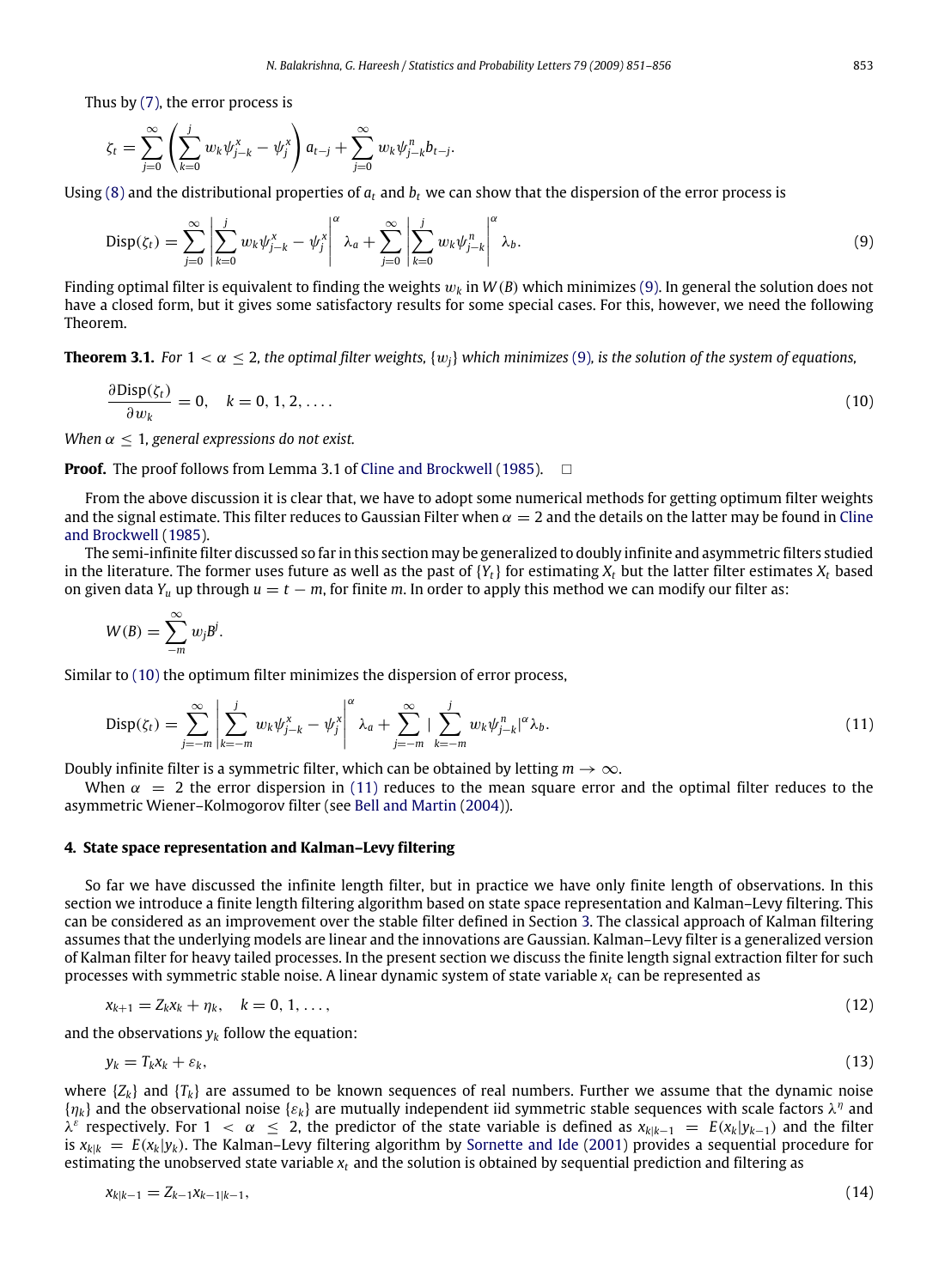Thus by [\(7\),](#page-1-6) the error process is

$$
\zeta_t = \sum_{j=0}^{\infty} \left( \sum_{k=0}^{j} w_k \psi_{j-k}^{x} - \psi_j^{x} \right) a_{t-j} + \sum_{j=0}^{\infty} w_k \psi_{j-k}^{n} b_{t-j}.
$$

Using [\(8\)](#page-1-7) and the distributional properties of  $a_t$  and  $b_t$  we can show that the dispersion of the error process is

<span id="page-2-1"></span>
$$
\text{Disp}(\zeta_t) = \sum_{j=0}^{\infty} \left| \sum_{k=0}^{j} w_k \psi_{j-k}^x - \psi_j^x \right|^{\alpha} \lambda_a + \sum_{j=0}^{\infty} \left| \sum_{k=0}^{j} w_k \psi_{j-k}^n \right|^{\alpha} \lambda_b.
$$
\n(9)

Finding optimal filter is equivalent to finding the weights  $w_k$  in  $W(B)$  which minimizes [\(9\).](#page-2-1) In general the solution does not have a closed form, but it gives some satisfactory results for some special cases. For this, however, we need the following Theorem.

**Theorem 3.1.** For  $1 < \alpha < 2$ , the optimal filter weights,  $\{w_i\}$  which minimizes [\(9\)](#page-2-1), is the solution of the system of equations,

<span id="page-2-2"></span>
$$
\frac{\partial \text{Disp}(\zeta_t)}{\partial w_k} = 0, \quad k = 0, 1, 2, \dots
$$
\n<sup>(10)</sup>

*When*  $\alpha \leq 1$ *, general expressions do not exist.* 

**Proof.** The proof follows from Lemma 3.1 of [Cline](#page-5-4) [and](#page-5-4) [Brockwell](#page-5-4) [\(1985\)](#page-5-4). □

From the above discussion it is clear that, we have to adopt some numerical methods for getting optimum filter weights and the signal estimate. This filter reduces to Gaussian Filter when  $\alpha = 2$  and the details on the latter may be found in [Cline](#page-5-4) [and](#page-5-4) [Brockwell](#page-5-4) [\(1985\)](#page-5-4).

The semi-infinite filter discussed so far in this section may be generalized to doubly infinite and asymmetric filters studied in the literature. The former uses future as well as the past of  ${Y_t}$  for estimating  $X_t$  but the latter filter estimates  $X_t$  based on given data  $Y_u$  up through  $u = t - m$ , for finite *m*. In order to apply this method we can modify our filter as:

$$
W(B) = \sum_{-m}^{\infty} w_j B^j.
$$

∂Disp(ζ*t*)

Similar to [\(10\)](#page-2-2) the optimum filter minimizes the dispersion of error process,

<span id="page-2-3"></span>
$$
Disp(\zeta_t) = \sum_{j=-m}^{\infty} \left| \sum_{k=-m}^{j} w_k \psi_{j-k}^x - \psi_j^x \right|^{\alpha} \lambda_a + \sum_{j=-m}^{\infty} \left| \sum_{k=-m}^{j} w_k \psi_{j-k}^n \right|^{\alpha} \lambda_b.
$$
 (11)

Doubly infinite filter is a symmetric filter, which can be obtained by letting  $m \to \infty$ .

When  $\alpha = 2$  the error dispersion in [\(11\)](#page-2-3) reduces to the mean square error and the optimal filter reduces to the asymmetric Wiener–Kolmogorov filter (see [Bell](#page-5-2) [and](#page-5-2) [Martin](#page-5-2) [\(2004\)](#page-5-2)).

#### <span id="page-2-0"></span>**4. State space representation and Kalman–Levy filtering**

So far we have discussed the infinite length filter, but in practice we have only finite length of observations. In this section we introduce a finite length filtering algorithm based on state space representation and Kalman–Levy filtering. This can be considered as an improvement over the stable filter defined in Section [3.](#page-1-0) The classical approach of Kalman filtering assumes that the underlying models are linear and the innovations are Gaussian. Kalman–Levy filter is a generalized version of Kalman filter for heavy tailed processes. In the present section we discuss the finite length signal extraction filter for such processes with symmetric stable noise. A linear dynamic system of state variable *x<sup>t</sup>* can be represented as

$$
x_{k+1} = Z_k x_k + \eta_k, \quad k = 0, 1, \dots,
$$
\n(12)

and the observations  $y_k$  follow the equation:

<span id="page-2-5"></span><span id="page-2-4"></span>
$$
y_k = T_k x_k + \varepsilon_k, \tag{13}
$$

where  $\{Z_k\}$  and  $\{T_k\}$  are assumed to be known sequences of real numbers. Further we assume that the dynamic noise  $\{\eta_k\}$  and the observational noise  $\{\varepsilon_k\}$  are mutually independent iid symmetric stable sequences with scale factors  $\lambda^\eta$  and λ<sup>ε</sup> respectively. For 1 < α ≤ 2, the predictor of the state variable is defined as  $x_{k|k-1} = E(x_k|y_{k-1})$  and the filter is  $x_{k|k} = E(x_k|y_k)$ . The Kalman–Levy filtering algorithm by [Sornette](#page-5-6) [and](#page-5-6) [Ide](#page-5-6) [\(2001\)](#page-5-6) provides a sequential procedure for estimating the unobserved state variable *x<sup>t</sup>* and the solution is obtained by sequential prediction and filtering as

<span id="page-2-6"></span>
$$
x_{k|k-1} = Z_{k-1}x_{k-1|k-1}, \tag{14}
$$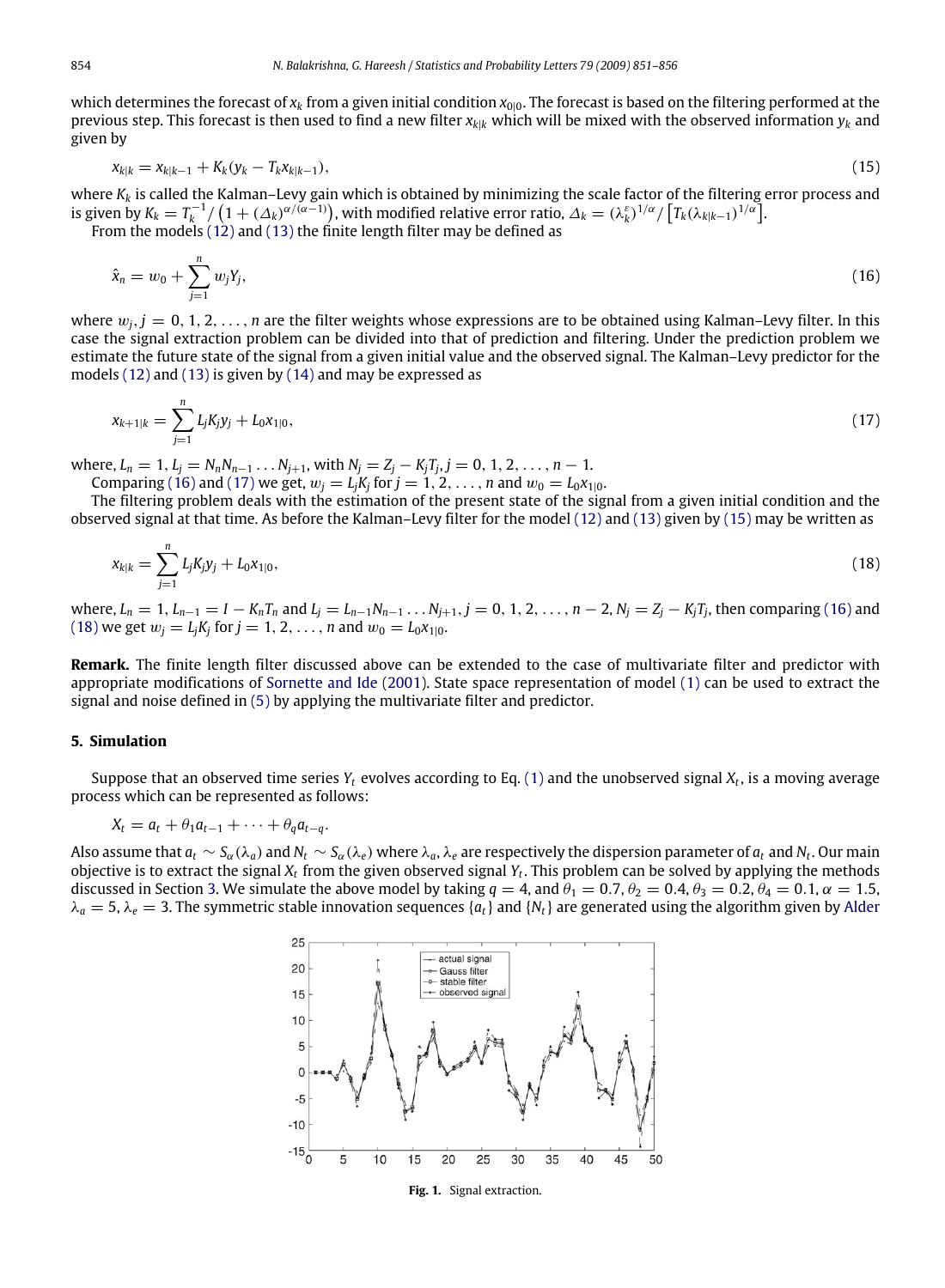which determines the forecast of  $x_k$  from a given initial condition  $x_{0|0}$ . The forecast is based on the filtering performed at the previous step. This forecast is then used to find a new filter *xk*|*<sup>k</sup>* which will be mixed with the observed information *y<sup>k</sup>* and given by

<span id="page-3-3"></span>
$$
x_{k|k} = x_{k|k-1} + K_k(y_k - T_k x_{k|k-1}),
$$
\n(15)

where *K<sup>k</sup>* is called the Kalman–Levy gain which is obtained by minimizing the scale factor of the filtering error process and is given by  $K_k = T_k^{-1}/\left(1+(\Delta_k)^{\alpha/(\alpha-1)}\right)$ , with modified relative error ratio,  $\Delta_k = (\lambda_k^{\varepsilon})^{1/\alpha}/\left[T_k(\lambda_{k|k-1})^{1/\alpha}\right]$ .

From the models  $(12)$  and  $(13)$  the finite length filter may be defined as

<span id="page-3-1"></span>
$$
\hat{x}_n = w_0 + \sum_{j=1}^n w_j Y_j,\tag{16}
$$

where  $w_i$ ,  $j = 0, 1, 2, \ldots, n$  are the filter weights whose expressions are to be obtained using Kalman–Levy filter. In this case the signal extraction problem can be divided into that of prediction and filtering. Under the prediction problem we estimate the future state of the signal from a given initial value and the observed signal. The Kalman–Levy predictor for the models [\(12\)](#page-2-4) and [\(13\)](#page-2-5) is given by [\(14\)](#page-2-6) and may be expressed as

<span id="page-3-2"></span>
$$
x_{k+1|k} = \sum_{j=1}^{n} L_j K_j y_j + L_0 x_{1|0}, \tag{17}
$$

where,  $L_n = 1$ ,  $L_j = N_n N_{n-1} \dots N_{j+1}$ , with  $N_j = Z_j - K_j T_j$ ,  $j = 0, 1, 2, \dots, n-1$ .

Comparing [\(16\)](#page-3-1) and [\(17\)](#page-3-2) we get,  $w_j = L_j K_j$  for  $j = 1, 2, ..., n$  and  $w_0 = L_0 x_{1|0}$ .

The filtering problem deals with the estimation of the present state of the signal from a given initial condition and the observed signal at that time. As before the Kalman–Levy filter for the model [\(12\)](#page-2-4) and [\(13\)](#page-2-5) given by [\(15\)](#page-3-3) may be written as

$$
x_{k|k} = \sum_{j=1}^{n} L_j K_j y_j + L_0 x_{1|0}, \tag{18}
$$

where,  $L_n = 1$ ,  $L_{n-1} = I - K_n T_n$  and  $L_j = L_{n-1} N_{n-1} \ldots N_{j+1}$ ,  $j = 0, 1, 2, \ldots, n-2$ ,  $N_j = Z_j - K_j T_j$ , then comparing [\(16\)](#page-3-1) and [\(18\)](#page-3-4) we get  $w_j = L_j K_j$  for  $j = 1, 2, ..., n$  and  $w_0 = L_0 x_{1|0}$ .

**Remark.** The finite length filter discussed above can be extended to the case of multivariate filter and predictor with appropriate modifications of [Sornette](#page-5-6) [and](#page-5-6) [Ide](#page-5-6) [\(2001\)](#page-5-6). State space representation of model [\(1\)](#page-0-1) can be used to extract the signal and noise defined in [\(5\)](#page-1-5) by applying the multivariate filter and predictor.

#### <span id="page-3-0"></span>**5. Simulation**

Suppose that an observed time series *Y<sup>t</sup>* evolves according to Eq. [\(1\)](#page-0-1) and the unobserved signal *X<sup>t</sup>* , is a moving average process which can be represented as follows:

$$
X_t = a_t + \theta_1 a_{t-1} + \cdots + \theta_q a_{t-q}.
$$

<span id="page-3-5"></span>Also assume that  $a_t\sim S_\alpha(\lambda_a)$  and  $N_t\sim S_\alpha(\lambda_e)$  where  $\lambda_a,\lambda_e$  are respectively the dispersion parameter of  $a_t$  and  $N_t$ . Our main objective is to extract the signal *X<sup>t</sup>* from the given observed signal *Y<sup>t</sup>* . This problem can be solved by applying the methods discussed in Section [3.](#page-1-0) We simulate the above model by taking  $q = 4$ , and  $\theta_1 = 0.7$ ,  $\theta_2 = 0.4$ ,  $\theta_3 = 0.2$ ,  $\theta_4 = 0.1$ ,  $\alpha = 1.5$ ,  $\lambda_a = 5$ ,  $\lambda_e = 3$ . The symmetric stable innovation sequences { $a_t$ } and { $N_t$ } are generated using the algorithm given by [Alder](#page-5-3)

<span id="page-3-4"></span>

**Fig. 1.** Signal extraction.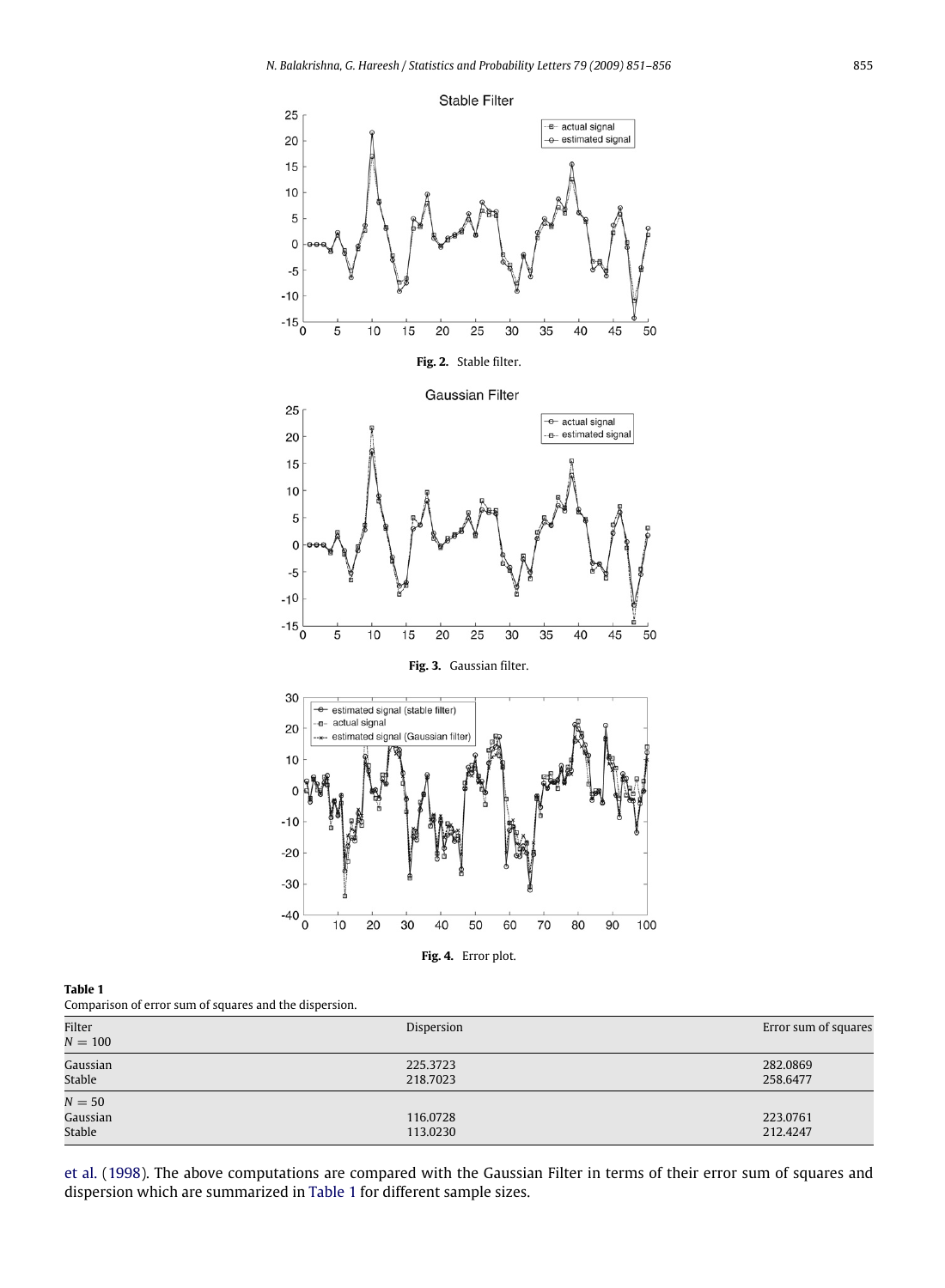



<span id="page-4-1"></span><span id="page-4-0"></span>

| Filter<br>$N = 100$          | Dispersion           | Error sum of squares |
|------------------------------|----------------------|----------------------|
| Gaussian<br>Stable           | 225.3723<br>218.7023 | 282.0869<br>258.6477 |
| $N=50$<br>Gaussian<br>Stable | 116.0728<br>113.0230 | 223,0761<br>212.4247 |

[et al.](#page-5-3) [\(1998\)](#page-5-3). The above computations are compared with the Gaussian Filter in terms of their error sum of squares and dispersion which are summarized in [Table 1](#page-4-0) for different sample sizes.